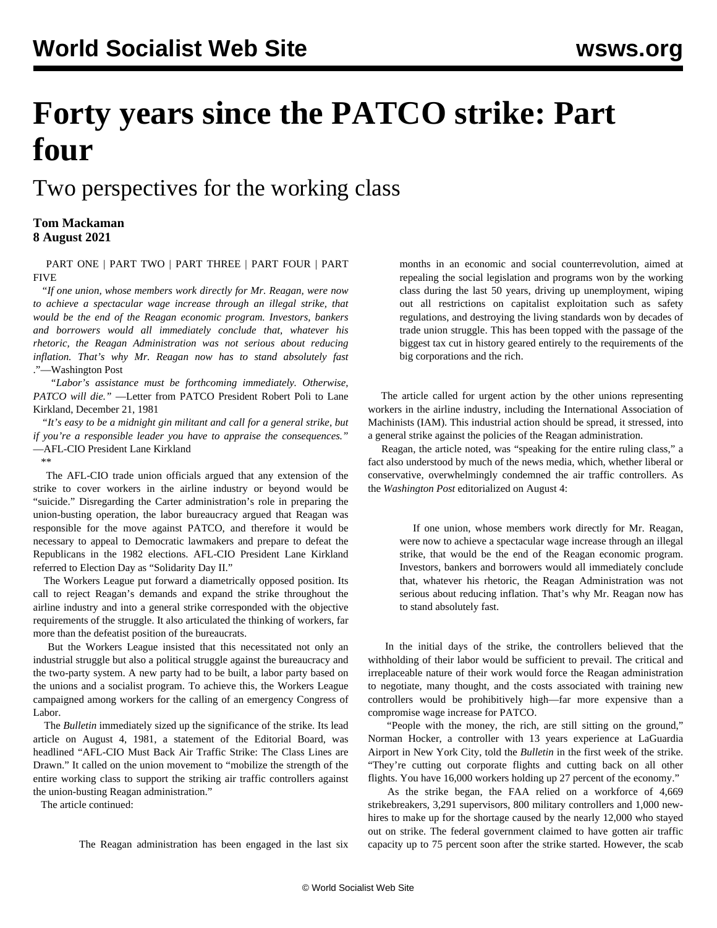## **Forty years since the PATCO strike: Part four**

## Two perspectives for the working class

## **Tom Mackaman 8 August 2021**

 [PART ONE](/en/articles/2021/08/03/patc-a03.html) | [PART TWO](/en/articles/2021/08/04/pat2-a04.html) | [PART THREE](/en/articles/2021/08/07/patc-a07.html) | [PART FOUR](/en/articles/2021/08/09/patc-a09.html) | [PART](/en/articles/2021/08/12/patc-a12.html) [FIVE](/en/articles/2021/08/12/patc-a12.html)

 "*If one union, whose members work directly for Mr. Reagan, were now to achieve a spectacular wage increase through an illegal strike, that would be the end of the Reagan economic program. Investors, bankers and borrowers would all immediately conclude that, whatever his rhetoric, the Reagan Administration was not serious about reducing inflation. That's why Mr. Reagan now has to stand absolutely fast* ."—Washington Post

 *"Labor's assistance must be forthcoming immediately. Otherwise, PATCO will die."* —Letter from PATCO President Robert Poli to Lane Kirkland, December 21, 1981

 *"It's easy to be a midnight gin militant and call for a general strike, but if you're a responsible leader you have to appraise the consequences."* —AFL-CIO President Lane Kirkland

\*\*

 The AFL-CIO trade union officials argued that any extension of the strike to cover workers in the airline industry or beyond would be "suicide." Disregarding the Carter administration's role in preparing the union-busting operation, the labor bureaucracy argued that Reagan was responsible for the move against PATCO, and therefore it would be necessary to appeal to Democratic lawmakers and prepare to defeat the Republicans in the 1982 elections. AFL-CIO President Lane Kirkland referred to Election Day as "Solidarity Day II."

 The Workers League put forward a diametrically opposed position. Its call to reject Reagan's demands and expand the strike throughout the airline industry and into a general strike corresponded with the objective requirements of the struggle. It also articulated the thinking of workers, far more than the defeatist position of the bureaucrats.

 But the Workers League insisted that this necessitated not only an industrial struggle but also a political struggle against the bureaucracy and the two-party system. A new party had to be built, a labor party based on the unions and a socialist program. To achieve this, the Workers League campaigned among workers for the calling of an emergency Congress of Labor.

 The *Bulletin* immediately sized up the significance of the strike. Its lead article on August 4, 1981, a statement of the Editorial Board, was headlined "AFL-CIO Must Back Air Traffic Strike: The Class Lines are Drawn." It called on the union movement to "mobilize the strength of the entire working class to support the striking air traffic controllers against the union-busting Reagan administration."

The article continued:

The Reagan administration has been engaged in the last six

months in an economic and social counterrevolution, aimed at repealing the social legislation and programs won by the working class during the last 50 years, driving up unemployment, wiping out all restrictions on capitalist exploitation such as safety regulations, and destroying the living standards won by decades of trade union struggle. This has been topped with the passage of the biggest tax cut in history geared entirely to the requirements of the big corporations and the rich.

 The article called for urgent action by the other unions representing workers in the airline industry, including the International Association of Machinists (IAM). This industrial action should be spread, it stressed, into a general strike against the policies of the Reagan administration.

 Reagan, the article noted, was "speaking for the entire ruling class," a fact also understood by much of the news media, which, whether liberal or conservative, overwhelmingly condemned the air traffic controllers. As the *Washington Post* editorialized on August 4:

 If one union, whose members work directly for Mr. Reagan, were now to achieve a spectacular wage increase through an illegal strike, that would be the end of the Reagan economic program. Investors, bankers and borrowers would all immediately conclude that, whatever his rhetoric, the Reagan Administration was not serious about reducing inflation. That's why Mr. Reagan now has to stand absolutely fast.

 In the initial days of the strike, the controllers believed that the withholding of their labor would be sufficient to prevail. The critical and irreplaceable nature of their work would force the Reagan administration to negotiate, many thought, and the costs associated with training new controllers would be prohibitively high—far more expensive than a compromise wage increase for PATCO.

 "People with the money, the rich, are still sitting on the ground," Norman Hocker, a controller with 13 years experience at LaGuardia Airport in New York City, told the *Bulletin* in the first week of the strike. "They're cutting out corporate flights and cutting back on all other flights. You have 16,000 workers holding up 27 percent of the economy."

 As the strike began, the FAA relied on a workforce of 4,669 strikebreakers, 3,291 supervisors, 800 military controllers and 1,000 newhires to make up for the shortage caused by the nearly 12,000 who stayed out on strike. The federal government claimed to have gotten air traffic capacity up to 75 percent soon after the strike started. However, the scab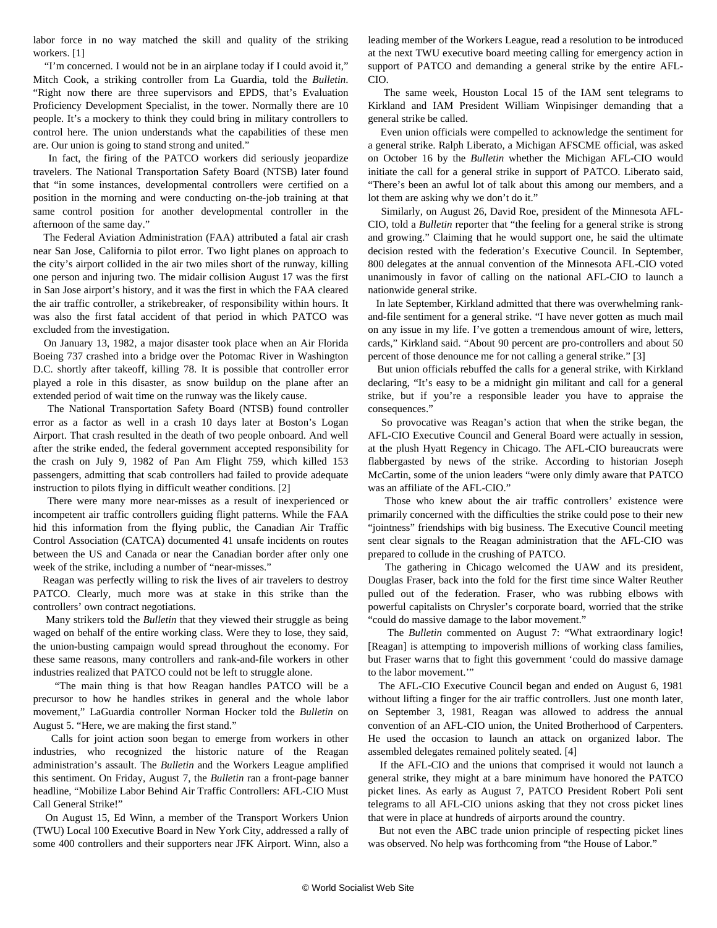labor force in no way matched the skill and quality of the striking workers. [1]

 "I'm concerned. I would not be in an airplane today if I could avoid it," Mitch Cook, a striking controller from La Guardia, told the *Bulletin*. "Right now there are three supervisors and EPDS, that's Evaluation Proficiency Development Specialist, in the tower. Normally there are 10 people. It's a mockery to think they could bring in military controllers to control here. The union understands what the capabilities of these men are. Our union is going to stand strong and united."

 In fact, the firing of the PATCO workers did seriously jeopardize travelers. The National Transportation Safety Board (NTSB) later found that "in some instances, developmental controllers were certified on a position in the morning and were conducting on-the-job training at that same control position for another developmental controller in the afternoon of the same day."

 The Federal Aviation Administration (FAA) attributed a fatal air crash near San Jose, California to pilot error. Two light planes on approach to the city's airport collided in the air two miles short of the runway, killing one person and injuring two. The midair collision August 17 was the first in San Jose airport's history, and it was the first in which the FAA cleared the air traffic controller, a strikebreaker, of responsibility within hours. It was also the first fatal accident of that period in which PATCO was excluded from the investigation.

 On January 13, 1982, a major disaster took place when an Air Florida Boeing 737 crashed into a bridge over the Potomac River in Washington D.C. shortly after takeoff, killing 78. It is possible that controller error played a role in this disaster, as snow buildup on the plane after an extended period of wait time on the runway was the likely cause.

 The National Transportation Safety Board (NTSB) found controller error as a factor as well in a crash 10 days later at Boston's Logan Airport. That crash resulted in the death of two people onboard. And well after the strike ended, the federal government accepted responsibility for the crash on July 9, 1982 of Pan Am Flight 759, which killed 153 passengers, admitting that scab controllers had failed to provide adequate instruction to pilots flying in difficult weather conditions. [2]

 There were many more near-misses as a result of inexperienced or incompetent air traffic controllers guiding flight patterns. While the FAA hid this information from the flying public, the Canadian Air Traffic Control Association (CATCA) documented 41 unsafe incidents on routes between the US and Canada or near the Canadian border after only one week of the strike, including a number of "near-misses."

 Reagan was perfectly willing to risk the lives of air travelers to destroy PATCO. Clearly, much more was at stake in this strike than the controllers' own contract negotiations.

 Many strikers told the *Bulletin* that they viewed their struggle as being waged on behalf of the entire working class. Were they to lose, they said, the union-busting campaign would spread throughout the economy. For these same reasons, many controllers and rank-and-file workers in other industries realized that PATCO could not be left to struggle alone.

 "The main thing is that how Reagan handles PATCO will be a precursor to how he handles strikes in general and the whole labor movement," LaGuardia controller Norman Hocker told the *Bulletin* on August 5. "Here, we are making the first stand."

 Calls for joint action soon began to emerge from workers in other industries, who recognized the historic nature of the Reagan administration's assault. The *Bulletin* and the Workers League amplified this sentiment. On Friday, August 7, the *Bulletin* ran a front-page banner headline, "Mobilize Labor Behind Air Traffic Controllers: AFL-CIO Must Call General Strike!"

 On August 15, Ed Winn, a member of the Transport Workers Union (TWU) Local 100 Executive Board in New York City, addressed a rally of some 400 controllers and their supporters near JFK Airport. Winn, also a

leading member of the Workers League, read a resolution to be introduced at the next TWU executive board meeting calling for emergency action in support of PATCO and demanding a general strike by the entire AFL-CIO.

 The same week, Houston Local 15 of the IAM sent telegrams to Kirkland and IAM President William Winpisinger demanding that a general strike be called.

 Even union officials were compelled to acknowledge the sentiment for a general strike. Ralph Liberato, a Michigan AFSCME official, was asked on October 16 by the *Bulletin* whether the Michigan AFL-CIO would initiate the call for a general strike in support of PATCO. Liberato said, "There's been an awful lot of talk about this among our members, and a lot them are asking why we don't do it."

 Similarly, on August 26, David Roe, president of the Minnesota AFL-CIO, told a *Bulletin* reporter that "the feeling for a general strike is strong and growing." Claiming that he would support one, he said the ultimate decision rested with the federation's Executive Council. In September, 800 delegates at the annual convention of the Minnesota AFL-CIO voted unanimously in favor of calling on the national AFL-CIO to launch a nationwide general strike.

 In late September, Kirkland admitted that there was overwhelming rankand-file sentiment for a general strike. "I have never gotten as much mail on any issue in my life. I've gotten a tremendous amount of wire, letters, cards," Kirkland said. "About 90 percent are pro-controllers and about 50 percent of those denounce me for not calling a general strike." [3]

 But union officials rebuffed the calls for a general strike, with Kirkland declaring, "It's easy to be a midnight gin militant and call for a general strike, but if you're a responsible leader you have to appraise the consequences."

 So provocative was Reagan's action that when the strike began, the AFL-CIO Executive Council and General Board were actually in session, at the plush Hyatt Regency in Chicago. The AFL-CIO bureaucrats were flabbergasted by news of the strike. According to historian Joseph McCartin, some of the union leaders "were only dimly aware that PATCO was an affiliate of the AFL-CIO."

 Those who knew about the air traffic controllers' existence were primarily concerned with the difficulties the strike could pose to their new "jointness" friendships with big business. The Executive Council meeting sent clear signals to the Reagan administration that the AFL-CIO was prepared to collude in the crushing of PATCO.

 The gathering in Chicago welcomed the UAW and its president, Douglas Fraser, back into the fold for the first time since Walter Reuther pulled out of the federation. Fraser, who was rubbing elbows with powerful capitalists on Chrysler's corporate board, worried that the strike "could do massive damage to the labor movement."

 The *Bulletin* commented on August 7: "What extraordinary logic! [Reagan] is attempting to impoverish millions of working class families, but Fraser warns that to fight this government 'could do massive damage to the labor movement.'"

 The AFL-CIO Executive Council began and ended on August 6, 1981 without lifting a finger for the air traffic controllers. Just one month later, on September 3, 1981, Reagan was allowed to address the annual convention of an AFL-CIO union, the United Brotherhood of Carpenters. He used the occasion to launch an attack on organized labor. The assembled delegates remained politely seated. [4]

 If the AFL-CIO and the unions that comprised it would not launch a general strike, they might at a bare minimum have honored the PATCO picket lines. As early as August 7, PATCO President Robert Poli sent telegrams to all AFL-CIO unions asking that they not cross picket lines that were in place at hundreds of airports around the country.

 But not even the ABC trade union principle of respecting picket lines was observed. No help was forthcoming from "the House of Labor."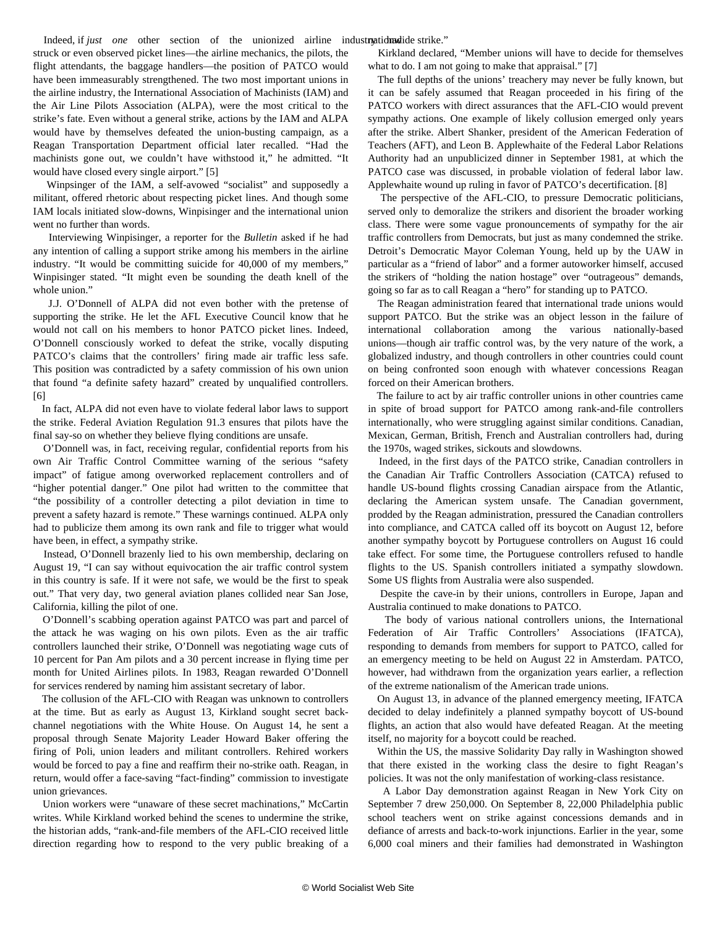struck or even observed picket lines—the airline mechanics, the pilots, the flight attendants, the baggage handlers—the position of PATCO would have been immeasurably strengthened. The two most important unions in the airline industry, the International Association of Machinists (IAM) and the Air Line Pilots Association (ALPA), were the most critical to the strike's fate. Even without a general strike, actions by the IAM and ALPA would have by themselves defeated the union-busting campaign, as a Reagan Transportation Department official later recalled. "Had the machinists gone out, we couldn't have withstood it," he admitted. "It would have closed every single airport." [5]

 Winpsinger of the IAM, a self-avowed "socialist" and supposedly a militant, offered rhetoric about respecting picket lines. And though some IAM locals initiated slow-downs, Winpisinger and the international union went no further than words.

 Interviewing Winpisinger, a reporter for the *Bulletin* asked if he had any intention of calling a support strike among his members in the airline industry. "It would be committing suicide for 40,000 of my members," Winpisinger stated. "It might even be sounding the death knell of the whole union."

 J.J. O'Donnell of ALPA did not even bother with the pretense of supporting the strike. He let the AFL Executive Council know that he would not call on his members to honor PATCO picket lines. Indeed, O'Donnell consciously worked to defeat the strike, vocally disputing PATCO's claims that the controllers' firing made air traffic less safe. This position was contradicted by a safety commission of his own union that found "a definite safety hazard" created by unqualified controllers. [6]

 In fact, ALPA did not even have to violate federal labor laws to support the strike. Federal Aviation Regulation 91.3 ensures that pilots have the final say-so on whether they believe flying conditions are unsafe.

 O'Donnell was, in fact, receiving regular, confidential reports from his own Air Traffic Control Committee warning of the serious "safety impact" of fatigue among overworked replacement controllers and of "higher potential danger." One pilot had written to the committee that "the possibility of a controller detecting a pilot deviation in time to prevent a safety hazard is remote." These warnings continued. ALPA only had to publicize them among its own rank and file to trigger what would have been, in effect, a sympathy strike.

 Instead, O'Donnell brazenly lied to his own membership, declaring on August 19, "I can say without equivocation the air traffic control system in this country is safe. If it were not safe, we would be the first to speak out." That very day, two general aviation planes collided near San Jose, California, killing the pilot of one.

 O'Donnell's scabbing operation against PATCO was part and parcel of the attack he was waging on his own pilots. Even as the air traffic controllers launched their strike, O'Donnell was negotiating wage cuts of 10 percent for Pan Am pilots and a 30 percent increase in flying time per month for United Airlines pilots. In 1983, Reagan rewarded O'Donnell for services rendered by naming him assistant secretary of labor.

 The collusion of the AFL-CIO with Reagan was unknown to controllers at the time. But as early as August 13, Kirkland sought secret backchannel negotiations with the White House. On August 14, he sent a proposal through Senate Majority Leader Howard Baker offering the firing of Poli, union leaders and militant controllers. Rehired workers would be forced to pay a fine and reaffirm their no-strike oath. Reagan, in return, would offer a face-saving "fact-finding" commission to investigate union grievances.

 Union workers were "unaware of these secret machinations," McCartin writes. While Kirkland worked behind the scenes to undermine the strike, the historian adds, "rank-and-file members of the AFL-CIO received little direction regarding how to respond to the very public breaking of a

 Kirkland declared, "Member unions will have to decide for themselves what to do. I am not going to make that appraisal." [7]

 The full depths of the unions' treachery may never be fully known, but it can be safely assumed that Reagan proceeded in his firing of the PATCO workers with direct assurances that the AFL-CIO would prevent sympathy actions. One example of likely collusion emerged only years after the strike. Albert Shanker, president of the American Federation of Teachers (AFT), and Leon B. Applewhaite of the Federal Labor Relations Authority had an unpublicized dinner in September 1981, at which the PATCO case was discussed, in probable violation of federal labor law. Applewhaite wound up ruling in favor of PATCO's decertification. [8]

 The perspective of the AFL-CIO, to pressure Democratic politicians, served only to demoralize the strikers and disorient the broader working class. There were some vague pronouncements of sympathy for the air traffic controllers from Democrats, but just as many condemned the strike. Detroit's Democratic Mayor Coleman Young, held up by the UAW in particular as a "friend of labor" and a former autoworker himself, accused the strikers of "holding the nation hostage" over "outrageous" demands, going so far as to call Reagan a "hero" for standing up to PATCO.

 The Reagan administration feared that international trade unions would support PATCO. But the strike was an object lesson in the failure of international collaboration among the various nationally-based unions—though air traffic control was, by the very nature of the work, a globalized industry, and though controllers in other countries could count on being confronted soon enough with whatever concessions Reagan forced on their American brothers.

 The failure to act by air traffic controller unions in other countries came in spite of broad support for PATCO among rank-and-file controllers internationally, who were struggling against similar conditions. Canadian, Mexican, German, British, French and Australian controllers had, during the 1970s, waged strikes, sickouts and slowdowns.

 Indeed, in the first days of the PATCO strike, Canadian controllers in the Canadian Air Traffic Controllers Association (CATCA) refused to handle US-bound flights crossing Canadian airspace from the Atlantic, declaring the American system unsafe. The Canadian government, prodded by the Reagan administration, pressured the Canadian controllers into compliance, and CATCA called off its boycott on August 12, before another sympathy boycott by Portuguese controllers on August 16 could take effect. For some time, the Portuguese controllers refused to handle flights to the US. Spanish controllers initiated a sympathy slowdown. Some US flights from Australia were also suspended.

 Despite the cave-in by their unions, controllers in Europe, Japan and Australia continued to make donations to PATCO.

 The body of various national controllers unions, the International Federation of Air Traffic Controllers' Associations (IFATCA), responding to demands from members for support to PATCO, called for an emergency meeting to be held on August 22 in Amsterdam. PATCO, however, had withdrawn from the organization years earlier, a reflection of the extreme nationalism of the American trade unions.

 On August 13, in advance of the planned emergency meeting, IFATCA decided to delay indefinitely a planned sympathy boycott of US-bound flights, an action that also would have defeated Reagan. At the meeting itself, no majority for a boycott could be reached.

 Within the US, the massive Solidarity Day rally in Washington showed that there existed in the working class the desire to fight Reagan's policies. It was not the only manifestation of working-class resistance.

 A Labor Day demonstration against Reagan in New York City on September 7 drew 250,000. On September 8, 22,000 Philadelphia public school teachers went on strike against concessions demands and in defiance of arrests and back-to-work injunctions. Earlier in the year, some 6,000 coal miners and their families had demonstrated in Washington